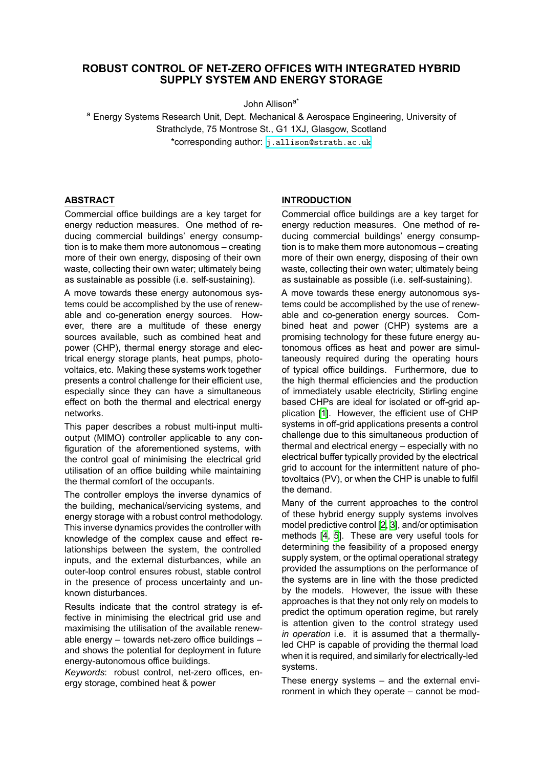# **ROBUST CONTROL OF NET-ZERO OFFICES WITH INTEGRATED HYBRID SUPPLY SYSTEM AND ENERGY STORAGE**

John Allisona\*

<sup>a</sup> Energy Systems Research Unit, Dept. Mechanical & Aerospace Engineering, University of Strathclyde, 75 Montrose St., G1 1XJ, Glasgow, Scotland \*corresponding author: [j.allison@strath.ac.uk](mailto:j.allison@strath.ac.uk)

# **ABSTRACT**

Commercial office buildings are a key target for energy reduction measures. One method of reducing commercial buildings' energy consumption is to make them more autonomous – creating more of their own energy, disposing of their own waste, collecting their own water; ultimately being as sustainable as possible (i.e. self-sustaining).

A move towards these energy autonomous systems could be accomplished by the use of renewable and co-generation energy sources. However, there are a multitude of these energy sources available, such as combined heat and power (CHP), thermal energy storage and electrical energy storage plants, heat pumps, photovoltaics, etc. Making these systems work together presents a control challenge for their efficient use, especially since they can have a simultaneous effect on both the thermal and electrical energy networks.

This paper describes a robust multi-input multioutput (MIMO) controller applicable to any configuration of the aforementioned systems, with the control goal of minimising the electrical grid utilisation of an office building while maintaining the thermal comfort of the occupants.

The controller employs the inverse dynamics of the building, mechanical/servicing systems, and energy storage with a robust control methodology. This inverse dynamics provides the controller with knowledge of the complex cause and effect relationships between the system, the controlled inputs, and the external disturbances, while an outer-loop control ensures robust, stable control in the presence of process uncertainty and unknown disturbances.

Results indicate that the control strategy is effective in minimising the electrical grid use and maximising the utilisation of the available renewable energy – towards net-zero office buildings – and shows the potential for deployment in future energy-autonomous office buildings.

*Keywords*: robust control, net-zero offices, energy storage, combined heat & power

# **INTRODUCTION**

Commercial office buildings are a key target for energy reduction measures. One method of reducing commercial buildings' energy consumption is to make them more autonomous – creating more of their own energy, disposing of their own waste, collecting their own water; ultimately being as sustainable as possible (i.e. self-sustaining).

A move towards these energy autonomous systems could be accomplished by the use of renewable and co-generation energy sources. Combined heat and power (CHP) systems are a promising technology for these future energy autonomous offices as heat and power are simultaneously required during the operating hours of typical office buildings. Furthermore, due to the high thermal efficiencies and the production of immediately usable electricity, Stirling engine based CHPs are ideal for isolated or off-grid application [\[1\]](#page-8-0). However, the efficient use of CHP systems in off-grid applications presents a control challenge due to this simultaneous production of thermal and electrical energy – especially with no electrical buffer typically provided by the electrical grid to account for the intermittent nature of photovoltaics (PV), or when the CHP is unable to fulfil the demand.

Many of the current approaches to the control of these hybrid energy supply systems involves model predictive control [\[2,](#page-8-1) [3](#page-8-2)], and/or optimisation methods[[4](#page-8-3), [5\]](#page-8-4). These are very useful tools for determining the feasibility of a proposed energy supply system, or the optimal operational strategy provided the assumptions on the performance of the systems are in line with the those predicted by the models. However, the issue with these approaches is that they not only rely on models to predict the optimum operation regime, but rarely is attention given to the control strategy used *in operation* i.e. it is assumed that a thermallyled CHP is capable of providing the thermal load when it is required, and similarly for electrically-led systems.

These energy systems – and the external environment in which they operate – cannot be mod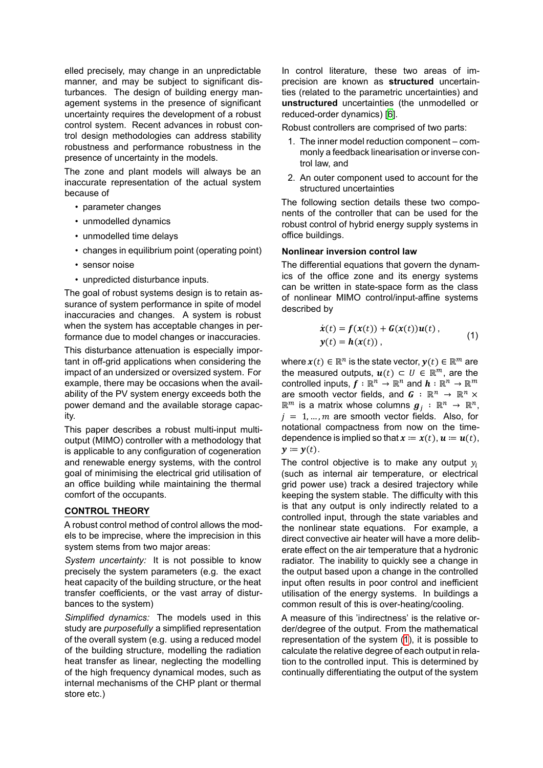elled precisely, may change in an unpredictable manner, and may be subject to significant disturbances. The design of building energy management systems in the presence of significant uncertainty requires the development of a robust control system. Recent advances in robust control design methodologies can address stability robustness and performance robustness in the presence of uncertainty in the models.

The zone and plant models will always be an inaccurate representation of the actual system because of

- parameter changes
- unmodelled dynamics
- unmodelled time delays
- changes in equilibrium point (operating point)
- sensor noise
- unpredicted disturbance inputs.

The goal of robust systems design is to retain assurance of system performance in spite of model inaccuracies and changes. A system is robust when the system has acceptable changes in performance due to model changes or inaccuracies.

This disturbance attenuation is especially important in off-grid applications when considering the impact of an undersized or oversized system. For example, there may be occasions when the availability of the PV system energy exceeds both the power demand and the available storage capacity.

This paper describes a robust multi-input multioutput (MIMO) controller with a methodology that is applicable to any configuration of cogeneration and renewable energy systems, with the control goal of minimising the electrical grid utilisation of an office building while maintaining the thermal comfort of the occupants.

### **CONTROL THEORY**

A robust control method of control allows the models to be imprecise, where the imprecision in this system stems from two major areas:

*System uncertainty:* It is not possible to know precisely the system parameters (e.g. the exact heat capacity of the building structure, or the heat transfer coefficients, or the vast array of disturbances to the system)

*Simplified dynamics:* The models used in this study are *purposefully* a simplified representation of the overall system (e.g. using a reduced model of the building structure, modelling the radiation heat transfer as linear, neglecting the modelling of the high frequency dynamical modes, such as internal mechanisms of the CHP plant or thermal store etc.)

In control literature, these two areas of imprecision are known as **structured** uncertainties (related to the parametric uncertainties) and **unstructured** uncertainties (the unmodelled or reduced-order dynamics) [\[6\]](#page-8-5).

Robust controllers are comprised of two parts:

- 1. The inner model reduction component commonly a feedback linearisation or inverse control law, and
- 2. An outer component used to account for the structured uncertainties

The following section details these two components of the controller that can be used for the robust control of hybrid energy supply systems in office buildings.

### **Nonlinear inversion control law**

The differential equations that govern the dynamics of the office zone and its energy systems can be written in state-space form as the class of nonlinear MIMO control/input-affine systems described by

<span id="page-1-0"></span>
$$
\dot{\boldsymbol{x}}(t) = \boldsymbol{f}(\boldsymbol{x}(t)) + \boldsymbol{G}(\boldsymbol{x}(t))\boldsymbol{u}(t),
$$
  
\n
$$
\boldsymbol{y}(t) = \boldsymbol{h}(\boldsymbol{x}(t)),
$$
\n(1)

where  $x(t) \in \mathbb{R}^n$  is the state vector,  $y(t) \in \mathbb{R}^m$  are the measured outputs,  $u(t) \subset U \in \mathbb{R}^m$ , are the controlled inputs,  $f : \mathbb{R}^n \to \mathbb{R}^n$  and  $h : \mathbb{R}^n \to \mathbb{R}^m$ are smooth vector fields, and  $\mathbf{G} : \mathbb{R}^n \to \mathbb{R}^n \times$  $\mathbb{R}^m$  is a matrix whose columns  $\boldsymbol{g}_j$  :  $\mathbb{R}^n$   $\rightarrow$   $\mathbb{R}^n,$  $i = 1, ..., m$  are smooth vector fields. Also, for notational compactness from now on the timedependence is implied so that  $x = x(t)$ ,  $u = u(t)$ ,  $y \coloneqq y(t)$ .

The control objective is to make any output  $y_i$ (such as internal air temperature, or electrical grid power use) track a desired trajectory while keeping the system stable. The difficulty with this is that any output is only indirectly related to a controlled input, through the state variables and the nonlinear state equations. For example, a direct convective air heater will have a more deliberate effect on the air temperature that a hydronic radiator. The inability to quickly see a change in the output based upon a change in the controlled input often results in poor control and inefficient utilisation of the energy systems. In buildings a common result of this is over-heating/cooling.

A measure of this 'indirectness' is the relative order/degree of the output. From the mathematical representation of the system([1](#page-1-0)), it is possible to calculate the relative degree of each output in relation to the controlled input. This is determined by continually differentiating the output of the system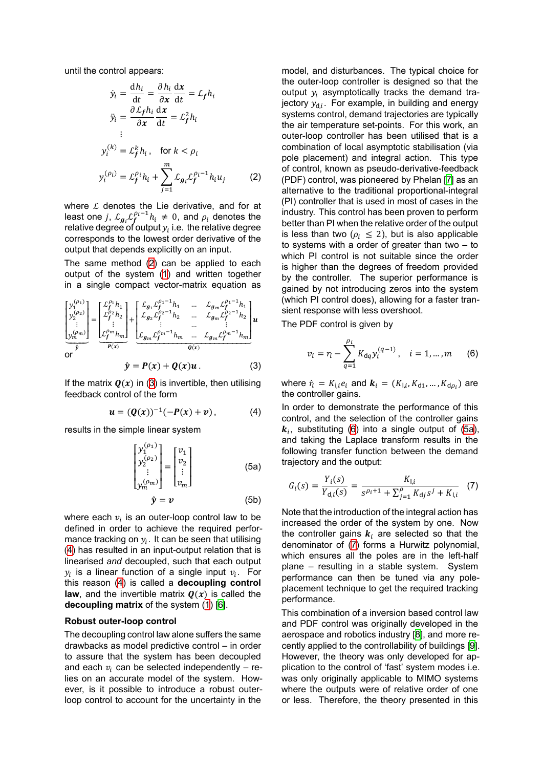until the control appears:

$$
\dot{y}_i = \frac{dh_i}{dt} = \frac{\partial h_i}{\partial x} \frac{dx}{dt} = \mathcal{L}_f h_i
$$
\n
$$
\dot{y}_i = \frac{\partial \mathcal{L}_f h_i}{\partial x} \frac{dx}{dt} = \mathcal{L}_f^2 h_i
$$
\n
$$
\vdots
$$
\n
$$
y_i^{(k)} = \mathcal{L}_f^k h_i, \quad \text{for } k < \rho_i
$$
\n
$$
y_i^{(\rho_i)} = \mathcal{L}_f^{\rho_i} h_i + \sum_{j=1}^m \mathcal{L}_{g_i} \mathcal{L}_f^{\rho_i - 1} h_i u_j \tag{2}
$$

where  $L$  denotes the Lie derivative, and for at least one j,  $\mathcal{L}_{g_i} \mathcal{L}_f^{\rho_i - 1} h_i \neq 0$ , and  $\rho_i$  denotes the relative degree of output  $y_i$  i.e. the relative degree corresponds to the lowest order derivative of the output that depends explicitly on an input.

The same method [\(2](#page-2-0)) can be applied to each output of the system [\(1\)](#page-1-0) and written together in a single compact vector-matrix equation as

$$
\begin{bmatrix} y_1^{(\rho_1)} \\ y_2^{(\rho_2)} \\ \vdots \\ y_m^{(\rho_m)} \end{bmatrix} = \underbrace{\begin{bmatrix} \mathcal{L}_f^{\rho_1} h_1 \\ \mathcal{L}_f^{\rho_2} h_2 \\ \vdots \\ \mathcal{L}_f^{\rho_m} h_m \end{bmatrix}}_{\mathbf{p}(\mathbf{x})} + \underbrace{\begin{bmatrix} \mathcal{L}_{g_1} \mathcal{L}_f^{\rho_1 - 1} h_1 & \dots & \mathcal{L}_{g_m} \mathcal{L}_f^{\rho_1 - 1} h_1 \\ \mathcal{L}_{g_2} \mathcal{L}_f^{\rho_2 - 1} h_2 & \dots & \mathcal{L}_{g_m} \mathcal{L}_f^{\rho_2 - 1} h_2 \\ \vdots & \vdots & \dots & \vdots \\ \mathcal{L}_{g_m} \mathcal{L}_f^{\rho_m - 1} h_m & \dots & \mathcal{L}_{g_m} \mathcal{L}_f^{\rho_m - 1} h_m \end{bmatrix}}_{\mathbf{q}(\mathbf{x})} \mathbf{u}.
$$
\n
$$
\hat{\mathbf{y}} = \mathbf{P}(\mathbf{x}) + \mathbf{Q}(\mathbf{x}) \mathbf{u}. \tag{3}
$$

Ifthe matrix  $Q(x)$  in ([3](#page-2-1)) is invertible, then utilising feedback control of the form

<span id="page-2-2"></span><span id="page-2-1"></span>
$$
u = (Q(x))^{-1}(-P(x) + v), \qquad (4)
$$

results in the simple linear system

$$
\begin{bmatrix} y_1^{(\rho_1)} \\ y_2^{(\rho_2)} \\ \vdots \\ y_m^{(\rho_m)} \end{bmatrix} = \begin{bmatrix} v_1 \\ v_2 \\ \vdots \\ v_m \end{bmatrix}
$$
 (5a)

$$
\hat{\mathbf{y}} = \mathbf{v} \tag{5b}
$$

where each  $v_i$  is an outer-loop control law to be defined in order to achieve the required performance tracking on  $y_i$ . It can be seen that utilising ([4](#page-2-2)) has resulted in an input-output relation that is linearised *and* decoupled, such that each output  $y_i$  is a linear function of a single input  $v_i$ . For this reason [\(4\)](#page-2-2) is called a **decoupling control law**, and the invertible matrix  $Q(x)$  is called the **decoupling matrix** of the system([1](#page-1-0)) [\[6\]](#page-8-5).

#### **Robust outer-loop control**

The decoupling control law alone suffers the same drawbacks as model predictive control – in order to assure that the system has been decoupled and each  $v_i$  can be selected independently – relies on an accurate model of the system. However, is it possible to introduce a robust outerloop control to account for the uncertainty in the

<span id="page-2-0"></span>model, and disturbances. The typical choice for the outer-loop controller is designed so that the output  $y_i$  asymptotically tracks the demand trajectory  $y_{\text{d}}$ . For example, in building and energy systems control, demand trajectories are typically the air temperature set-points. For this work, an outer-loop controller has been utilised that is a combination of local asymptotic stabilisation (via pole placement) and integral action. This type of control, known as pseudo-derivative-feedback (PDF) control, was pioneered by Phelan [\[7\]](#page-8-6) as an alternative to the traditional proportional-integral (PI) controller that is used in most of cases in the industry. This control has been proven to perform better than PI when the relative order of the output is less than two ( $\rho_i \leq 2$ ), but is also applicable to systems with a order of greater than two – to which PI control is not suitable since the order is higher than the degrees of freedom provided by the controller. The superior performance is gained by not introducing zeros into the system (which PI control does), allowing for a faster transient response with less overshoot.

The PDF control is given by

<span id="page-2-3"></span>
$$
v_i = r_i - \sum_{q=1}^{\rho_i} K_{dq} y_i^{(q-1)}, \quad i = 1, ..., m \qquad (6)
$$

where  $\dot{r_{i}}=K_{\mathsf{i},i}e_{i}$  and  $\boldsymbol{k}_{i}=(K_{\mathsf{l},i},K_{\mathsf{d}1},\ldots,K_{\mathsf{d}\rho_{i}})$  are the controller gains.

In order to demonstrate the performance of this control, and the selection of the controller gains  $\boldsymbol{k}_i$ ,substituting ([6](#page-2-3)) into a single output of ([5a\)](#page-2-4), and taking the Laplace transform results in the following transfer function between the demand trajectory and the output:

<span id="page-2-5"></span><span id="page-2-4"></span>
$$
G_i(s) = \frac{Y_i(s)}{Y_{d,i}(s)} = \frac{K_{1,i}}{s^{\rho_i+1} + \sum_{j=1}^{\rho} K_{d,j} s^j + K_{1,i}} \quad (7)
$$

Note that the introduction of the integral action has increased the order of the system by one. Now the controller gains  $k_i$  are selected so that the denominator of [\(7\)](#page-2-5) forms a Hurwitz polynomial, which ensures all the poles are in the left-half plane – resulting in a stable system. System performance can then be tuned via any poleplacement technique to get the required tracking performance.

This combination of a inversion based control law and PDF control was originally developed in the aerospace and robotics industry [\[8\]](#page-8-7), and more recently applied to the controllability of buildings [\[9\]](#page-8-8). However, the theory was only developed for application to the control of 'fast' system modes i.e. was only originally applicable to MIMO systems where the outputs were of relative order of one or less. Therefore, the theory presented in this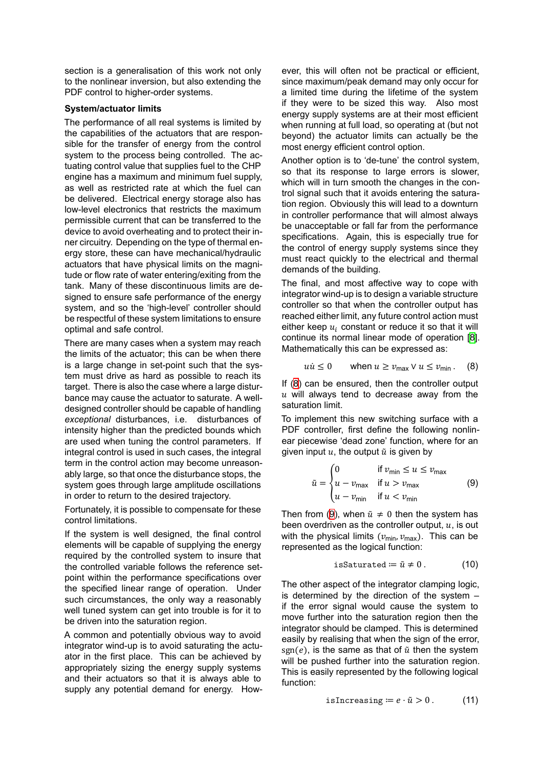section is a generalisation of this work not only to the nonlinear inversion, but also extending the PDF control to higher-order systems.

### **System/actuator limits**

The performance of all real systems is limited by the capabilities of the actuators that are responsible for the transfer of energy from the control system to the process being controlled. The actuating control value that supplies fuel to the CHP engine has a maximum and minimum fuel supply, as well as restricted rate at which the fuel can be delivered. Electrical energy storage also has low-level electronics that restricts the maximum permissible current that can be transferred to the device to avoid overheating and to protect their inner circuitry. Depending on the type of thermal energy store, these can have mechanical/hydraulic actuators that have physical limits on the magnitude or flow rate of water entering/exiting from the tank. Many of these discontinuous limits are designed to ensure safe performance of the energy system, and so the 'high-level' controller should be respectful of these system limitations to ensure optimal and safe control.

There are many cases when a system may reach the limits of the actuator; this can be when there is a large change in set-point such that the system must drive as hard as possible to reach its target. There is also the case where a large disturbance may cause the actuator to saturate. A welldesigned controller should be capable of handling *exceptional* disturbances, i.e. disturbances of intensity higher than the predicted bounds which are used when tuning the control parameters. If integral control is used in such cases, the integral term in the control action may become unreasonably large, so that once the disturbance stops, the system goes through large amplitude oscillations in order to return to the desired trajectory.

Fortunately, it is possible to compensate for these control limitations.

If the system is well designed, the final control elements will be capable of supplying the energy required by the controlled system to insure that the controlled variable follows the reference setpoint within the performance specifications over the specified linear range of operation. Under such circumstances, the only way a reasonably well tuned system can get into trouble is for it to be driven into the saturation region.

A common and potentially obvious way to avoid integrator wind-up is to avoid saturating the actuator in the first place. This can be achieved by appropriately sizing the energy supply systems and their actuators so that it is always able to supply any potential demand for energy. How-

ever, this will often not be practical or efficient, since maximum/peak demand may only occur for a limited time during the lifetime of the system if they were to be sized this way. Also most energy supply systems are at their most efficient when running at full load, so operating at (but not beyond) the actuator limits can actually be the most energy efficient control option.

Another option is to 'de-tune' the control system, so that its response to large errors is slower, which will in turn smooth the changes in the control signal such that it avoids entering the saturation region. Obviously this will lead to a downturn in controller performance that will almost always be unacceptable or fall far from the performance specifications. Again, this is especially true for the control of energy supply systems since they must react quickly to the electrical and thermal demands of the building.

The final, and most affective way to cope with integrator wind-up is to design a variable structure controller so that when the controller output has reached either limit, any future control action must either keep  $u_i$  constant or reduce it so that it will continue its normal linear mode of operation [\[8\]](#page-8-7). Mathematically this can be expressed as:

<span id="page-3-0"></span>
$$
u\dot{u} \leq 0 \qquad \text{when } u \geq v_{\text{max}} \vee u \leq v_{\text{min}}. \tag{8}
$$

If([8](#page-3-0)) can be ensured, then the controller output  $u$  will always tend to decrease away from the saturation limit.

To implement this new switching surface with a PDF controller, first define the following nonlinear piecewise 'dead zone' function, where for an given input  $u$ , the output  $\tilde{u}$  is given by

<span id="page-3-1"></span>
$$
\tilde{u} = \begin{cases}\n0 & \text{if } v_{\text{min}} \le u \le v_{\text{max}} \\
u - v_{\text{max}} & \text{if } u > v_{\text{max}} \\
u - v_{\text{min}} & \text{if } u < v_{\text{min}}\n\end{cases} \tag{9}
$$

Then from [\(9\)](#page-3-1), when  $\tilde{u} \neq 0$  then the system has been overdriven as the controller output,  $u$ , is out with the physical limits ( $v_{\text{min}}$ ,  $v_{\text{max}}$ ). This can be represented as the logical function:

$$
is saturated := \tilde{u} \neq 0. \tag{10}
$$

The other aspect of the integrator clamping logic, is determined by the direction of the system – if the error signal would cause the system to move further into the saturation region then the integrator should be clamped. This is determined easily by realising that when the sign of the error, sgn(e), is the same as that of  $\tilde{u}$  then the system will be pushed further into the saturation region. This is easily represented by the following logical function:

isIncreasing 
$$
\coloneqq e \cdot \tilde{u} > 0
$$
. (11)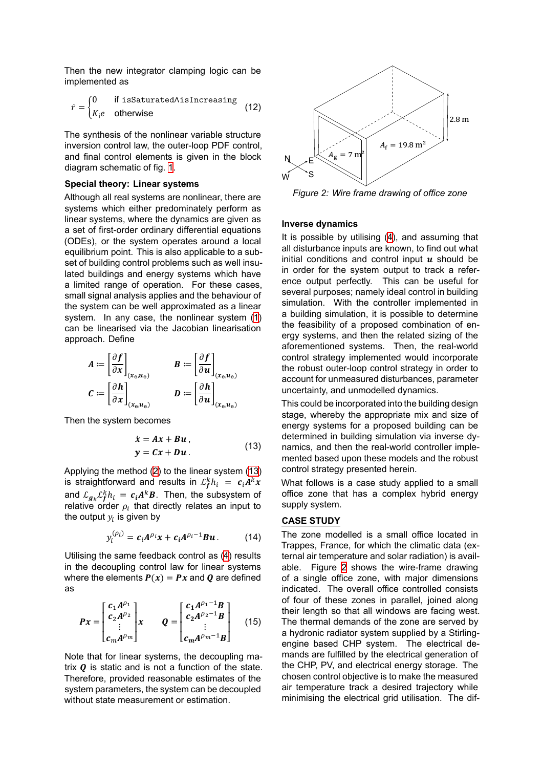Then the new integrator clamping logic can be implemented as

$$
\dot{r} = \begin{cases} 0 & \text{if } \text{isSaturated} \land \text{isIncreasing} \\ K_i e & \text{otherwise} \end{cases} \tag{12}
$$

The synthesis of the nonlinear variable structure inversion control law, the outer-loop PDF control, and final control elements is given in the block diagram schematic of fig. [1.](#page-5-0)

#### **Special theory: Linear systems**

Although all real systems are nonlinear, there are systems which either predominately perform as linear systems, where the dynamics are given as a set of first-order ordinary differential equations (ODEs), or the system operates around a local equilibrium point. This is also applicable to a subset of building control problems such as well insulated buildings and energy systems which have a limited range of operation. For these cases, small signal analysis applies and the behaviour of the system can be well approximated as a linear system. In any case, the nonlinear system [\(1\)](#page-1-0) can be linearised via the Jacobian linearisation approach. Define

$$
A := \left[\frac{\partial f}{\partial x}\right]_{(x_{e}, u_{e})}
$$
  

$$
C := \left[\frac{\partial h}{\partial x}\right]_{(x_{e}, u_{e})}
$$
  

$$
D := \left[\frac{\partial h}{\partial u}\right]_{(x_{e}, u_{e})}
$$
  

$$
D := \left[\frac{\partial h}{\partial u}\right]_{(x_{e}, u_{e})}
$$

Then the system becomes

$$
\dot{x} = Ax + Bu,
$$
  
\n
$$
y = Cx + Du.
$$
\n(13)

Applying the method([2](#page-2-0)) to the linear system([13\)](#page-4-0) is straightforward and results in  $\mathcal{L}_f^k h_i = c_i A^k x$ and  $\mathcal{L}_{g_k}\mathcal{L}_f^k h_i = c_i A^k B$ . Then, the subsystem of relative order  $\rho_i$  that directly relates an input to the output  $y_i$  is given by

$$
y_i^{(\rho_i)} = c_i A^{\rho_i} x + c_i A^{\rho_i - 1} B u. \qquad (14)
$$

Utilising the same feedback control as [\(4\)](#page-2-2) results in the decoupling control law for linear systems where the elements  $P(x) = Px$  and Q are defined as

$$
Px = \begin{bmatrix} c_1 A^{\rho_1} \\ c_2 A^{\rho_2} \\ \vdots \\ c_m A^{\rho_m} \end{bmatrix} x \qquad Q = \begin{bmatrix} c_1 A^{\rho_1 - 1}B \\ c_2 A^{\rho_2 - 1}B \\ \vdots \\ c_m A^{\rho_m - 1}B \end{bmatrix} \quad (15)
$$

Note that for linear systems, the decoupling matrix  *is static and is not a function of the state.* Therefore, provided reasonable estimates of the system parameters, the system can be decoupled without state measurement or estimation.

<span id="page-4-1"></span>

*Figure 2: Wire frame drawing of office zone*

#### **Inverse dynamics**

It is possible by utilising([4](#page-2-2)), and assuming that all disturbance inputs are known, to find out what initial conditions and control input  $u$  should be in order for the system output to track a reference output perfectly. This can be useful for several purposes; namely ideal control in building simulation. With the controller implemented in a building simulation, it is possible to determine the feasibility of a proposed combination of energy systems, and then the related sizing of the aforementioned systems. Then, the real-world control strategy implemented would incorporate the robust outer-loop control strategy in order to account for unmeasured disturbances, parameter uncertainty, and unmodelled dynamics.

<span id="page-4-0"></span>This could be incorporated into the building design stage, whereby the appropriate mix and size of energy systems for a proposed building can be determined in building simulation via inverse dynamics, and then the real-world controller implemented based upon these models and the robust control strategy presented herein.

What follows is a case study applied to a small office zone that has a complex hybrid energy supply system.

### **CASE STUDY**

The zone modelled is a small office located in Trappes, France, for which the climatic data (external air temperature and solar radiation) is available. Figure [2](#page-4-1) shows the wire-frame drawing of a single office zone, with major dimensions indicated. The overall office controlled consists of four of these zones in parallel, joined along their length so that all windows are facing west. The thermal demands of the zone are served by a hydronic radiator system supplied by a Stirlingengine based CHP system. The electrical demands are fulfilled by the electrical generation of the CHP, PV, and electrical energy storage. The chosen control objective is to make the measured air temperature track a desired trajectory while minimising the electrical grid utilisation. The dif-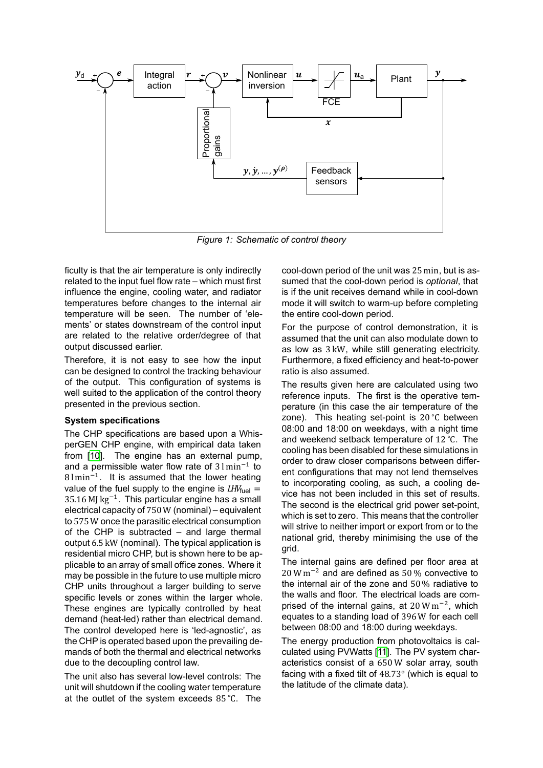<span id="page-5-0"></span>

*Figure 1: Schematic of control theory*

ficulty is that the air temperature is only indirectly related to the input fuel flow rate – which must first influence the engine, cooling water, and radiator temperatures before changes to the internal air temperature will be seen. The number of 'elements' or states downstream of the control input are related to the relative order/degree of that output discussed earlier.

Therefore, it is not easy to see how the input can be designed to control the tracking behaviour of the output. This configuration of systems is well suited to the application of the control theory presented in the previous section.

# **System specifications**

The CHP specifications are based upon a WhisperGEN CHP engine, with empirical data taken from[[10\]](#page-8-9). The engine has an external pump, and a permissible water flow rate of  $31 \text{min}^{-1}$  to  $81 \text{min}^{-1}$ . It is assumed that the lower heating value of the fuel supply to the engine is  $LW_{\text{fuel}} =$  $35.16$  MJ kg<sup>-1</sup>. This particular engine has a small electrical capacity of 750 W (nominal) – equivalent to 575 W once the parasitic electrical consumption of the CHP is subtracted – and large thermal output 6.5 kW (nominal). The typical application is residential micro CHP, but is shown here to be applicable to an array of small office zones. Where it may be possible in the future to use multiple micro CHP units throughout a larger building to serve specific levels or zones within the larger whole. These engines are typically controlled by heat demand (heat-led) rather than electrical demand. The control developed here is 'led-agnostic', as the CHP is operated based upon the prevailing demands of both the thermal and electrical networks due to the decoupling control law.

The unit also has several low-level controls: The unit will shutdown if the cooling water temperature at the outlet of the system exceeds 85 <sup>∘</sup>C. The cool-down period of the unit was 25 min, but is assumed that the cool-down period is *optional*, that is if the unit receives demand while in cool-down mode it will switch to warm-up before completing the entire cool-down period.

For the purpose of control demonstration, it is assumed that the unit can also modulate down to as low as 3 kW, while still generating electricity. Furthermore, a fixed efficiency and heat-to-power ratio is also assumed.

The results given here are calculated using two reference inputs. The first is the operative temperature (in this case the air temperature of the zone). This heating set-point is 20 <sup>∘</sup>C between 08:00 and 18:00 on weekdays, with a night time and weekend setback temperature of 12 <sup>∘</sup>C. The cooling has been disabled for these simulations in order to draw closer comparisons between different configurations that may not lend themselves to incorporating cooling, as such, a cooling device has not been included in this set of results. The second is the electrical grid power set-point. which is set to zero. This means that the controller will strive to neither import or export from or to the national grid, thereby minimising the use of the grid.

The internal gains are defined per floor area at  $20 \,\mathrm{W\,m^{-2}}$  and are defined as 50 % convective to the internal air of the zone and 50 % radiative to the walls and floor. The electrical loads are comprised of the internal gains, at  $20 \,\mathrm{W\,m}^{-2}$ , which equates to a standing load of 396 W for each cell between 08:00 and 18:00 during weekdays.

The energy production from photovoltaics is calculated using PVWatts[[11](#page-8-10)]. The PV system characteristics consist of a 650 W solar array, south facing with a fixed tilt of 48.73° (which is equal to the latitude of the climate data).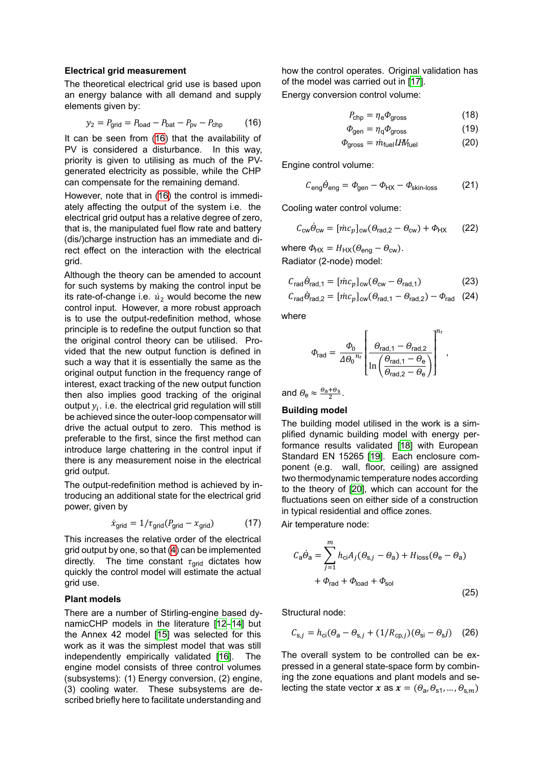#### **Electrical grid measurement**

The theoretical electrical grid use is based upon an energy balance with all demand and supply elements given by:

<span id="page-6-0"></span>
$$
y_2 = P_{\text{grid}} = P_{\text{load}} - P_{\text{bat}} - P_{\text{pv}} - P_{\text{chp}} \tag{16}
$$

It can be seen from([16](#page-6-0)) that the availability of PV is considered a disturbance. In this way, priority is given to utilising as much of the PVgenerated electricity as possible, while the CHP can compensate for the remaining demand.

However, note that in [\(16](#page-6-0)) the control is immediately affecting the output of the system i.e. the electrical grid output has a relative degree of zero, that is, the manipulated fuel flow rate and battery (dis/)charge instruction has an immediate and direct effect on the interaction with the electrical grid.

Although the theory can be amended to account for such systems by making the control input be its rate-of-change i.e.  $\dot{u}_2$  would become the new control input. However, a more robust approach is to use the output-redefinition method, whose principle is to redefine the output function so that the original control theory can be utilised. Provided that the new output function is defined in such a way that it is essentially the same as the original output function in the frequency range of interest, exact tracking of the new output function then also implies good tracking of the original output  $y_i$ . i.e. the electrical grid regulation will still be achieved since the outer-loop compensator will drive the actual output to zero. This method is preferable to the first, since the first method can introduce large chattering in the control input if there is any measurement noise in the electrical grid output.

The output-redefinition method is achieved by introducing an additional state for the electrical grid power, given by

$$
\dot{x}_{\text{grid}} = 1/\tau_{\text{grid}}(P_{\text{grid}} - x_{\text{grid}})
$$
 (17)

This increases the relative order of the electrical grid output by one, so that [\(4\)](#page-2-2) can be implemented directly. The time constant  $\tau_{\text{grid}}$  dictates how quickly the control model will estimate the actual grid use.

#### **Plant models**

There are a number of Stirling-engine based dynamicCHP models in the literature [\[12](#page-9-0)–[14\]](#page-9-1) but the Annex 42 model [\[15](#page-9-2)] was selected for this work as it was the simplest model that was still independently empirically validated[[16\]](#page-9-3). The engine model consists of three control volumes (subsystems): (1) Energy conversion, (2) engine, (3) cooling water. These subsystems are described briefly here to facilitate understanding and

how the control operates. Original validation has of the model was carried out in [\[17](#page-9-4)]. Energy conversion control volume:

$$
P_{\rm chp} = \eta_{\rm e} \Phi_{\rm gross} \tag{18}
$$

$$
\Phi_{gen} = \eta_{q} \Phi_{gross} \tag{19}
$$

$$
\Phi_{\text{gross}} = \dot{m}_{\text{fuel}} I H V_{\text{fuel}}
$$
 (20)

Engine control volume:

$$
C_{\text{eng}}\dot{\theta}_{\text{eng}} = \phi_{\text{gen}} - \phi_{\text{HX}} - \phi_{\text{skin-loss}} \tag{21}
$$

Cooling water control volume:

$$
C_{\rm cw}\dot{\Theta}_{\rm cw} = [mc_p]_{\rm cw}(\theta_{\rm rad,2} - \theta_{\rm cw}) + \Phi_{\rm HX}
$$
 (22)

where  $\Phi_{HX} = H_{HX}(\Theta_{eng} - \Theta_{cw})$ . Radiator (2-node) model:

$$
C_{\text{rad}}\dot{\Theta}_{\text{rad},1} = [\dot{m}c_p]_{\text{cw}}(\Theta_{\text{cw}} - \Theta_{\text{rad},1})
$$
 (23)

$$
C_{\text{rad}}\dot{\Theta}_{\text{rad},2} = [\dot{m}c_p]_{\text{cw}}(\theta_{\text{rad},1} - \theta_{\text{rad},2}) - \phi_{\text{rad}} \quad (24)
$$

where

$$
\Phi_{\text{rad}} = \frac{\Phi_0}{\Delta \theta_0^{n_r}} \left[ \frac{\theta_{\text{rad},1} - \theta_{\text{rad},2}}{\ln \left( \frac{\theta_{\text{rad},1} - \theta_{\text{e}}}{\theta_{\text{rad},2} - \theta_{\text{e}}} \right)} \right]^{n_r}
$$

,

and  $\theta_{\rm e} \approx \frac{\theta_{\rm a} + \theta_{\rm s}}{2}$ .

#### **Building model**

The building model utilised in the work is a simplified dynamic building model with energy performance results validated[[18\]](#page-9-5) with European Standard EN 15265[[19\]](#page-9-6). Each enclosure component (e.g. wall, floor, ceiling) are assigned two thermodynamic temperature nodes according to the theory of[[20\]](#page-9-7), which can account for the fluctuations seen on either side of a construction in typical residential and office zones.

Air temperature node:

$$
C_{\mathbf{a}}\dot{\theta}_{\mathbf{a}} = \sum_{j=1}^{m} h_{\mathbf{c}i} A_j (\theta_{\mathbf{s},j} - \theta_{\mathbf{a}}) + H_{\text{loss}} (\theta_{\mathbf{e}} - \theta_{\mathbf{a}})
$$

$$
+ \Phi_{\text{rad}} + \Phi_{\text{load}} + \Phi_{\text{sol}}
$$
(25)

Structural node:

$$
C_{\mathsf{s},j} = h_{\mathsf{ci}}(\theta_{\mathsf{a}} - \theta_{\mathsf{s},j} + (1/R_{\mathsf{cp},j})(\theta_{\mathsf{s}i} - \theta_{\mathsf{s}}j) \quad (26)
$$

The overall system to be controlled can be expressed in a general state-space form by combining the zone equations and plant models and selecting the state vector  $x$  as  $x=(\theta_{\mathsf{a}},\theta_{\mathsf{s}1},...,\theta_{\mathsf{s},m})$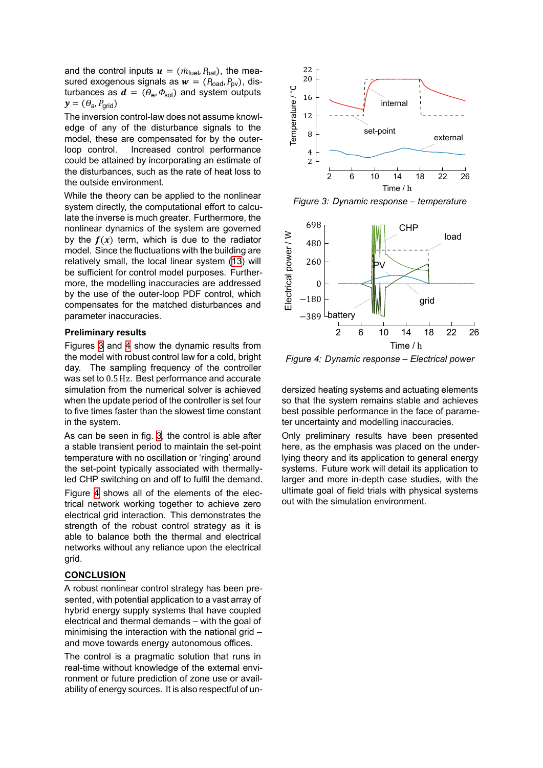and the control inputs  $\mathbf{u} = (\dot{m}_{\text{fuel}}, P_{\text{bat}})$ , the measured exogenous signals as  $w = (P_{\text{load}}, P_{\text{ov}})$ , disturbances as  $\boldsymbol{d}$  =  $(\theta_{\sf e}, \varPhi_{\sf sol})$  and system outputs  $y = (\theta_{\sf a}, P_{\sf grid})$ 

The inversion control-law does not assume knowledge of any of the disturbance signals to the model, these are compensated for by the outerloop control. Increased control performance could be attained by incorporating an estimate of the disturbances, such as the rate of heat loss to the outside environment.

While the theory can be applied to the nonlinear system directly, the computational effort to calculate the inverse is much greater. Furthermore, the nonlinear dynamics of the system are governed by the  $f(x)$  term, which is due to the radiator model. Since the fluctuations with the building are relatively small, the local linear system [\(13](#page-4-0)) will be sufficient for control model purposes. Furthermore, the modelling inaccuracies are addressed by the use of the outer-loop PDF control, which compensates for the matched disturbances and parameter inaccuracies.

#### **Preliminary results**

Figures [3](#page-7-0) and [4](#page-7-1) show the dynamic results from the model with robust control law for a cold, bright day. The sampling frequency of the controller was set to 0.5 Hz. Best performance and accurate simulation from the numerical solver is achieved when the update period of the controller is set four to five times faster than the slowest time constant in the system.

As can be seen in fig. [3](#page-7-0), the control is able after a stable transient period to maintain the set-point temperature with no oscillation or 'ringing' around the set-point typically associated with thermallyled CHP switching on and off to fulfil the demand.

Figure [4](#page-7-1) shows all of the elements of the electrical network working together to achieve zero electrical grid interaction. This demonstrates the strength of the robust control strategy as it is able to balance both the thermal and electrical networks without any reliance upon the electrical grid.

## **CONCLUSION**

A robust nonlinear control strategy has been presented, with potential application to a vast array of hybrid energy supply systems that have coupled electrical and thermal demands – with the goal of minimising the interaction with the national grid – and move towards energy autonomous offices.

The control is a pragmatic solution that runs in real-time without knowledge of the external environment or future prediction of zone use or availability of energy sources. It is also respectful of un-

<span id="page-7-0"></span>

*Figure 3: Dynamic response – temperature*

<span id="page-7-1"></span>

*Figure 4: Dynamic response – Electrical power*

dersized heating systems and actuating elements so that the system remains stable and achieves best possible performance in the face of parameter uncertainty and modelling inaccuracies.

Only preliminary results have been presented here, as the emphasis was placed on the underlying theory and its application to general energy systems. Future work will detail its application to larger and more in-depth case studies, with the ultimate goal of field trials with physical systems out with the simulation environment.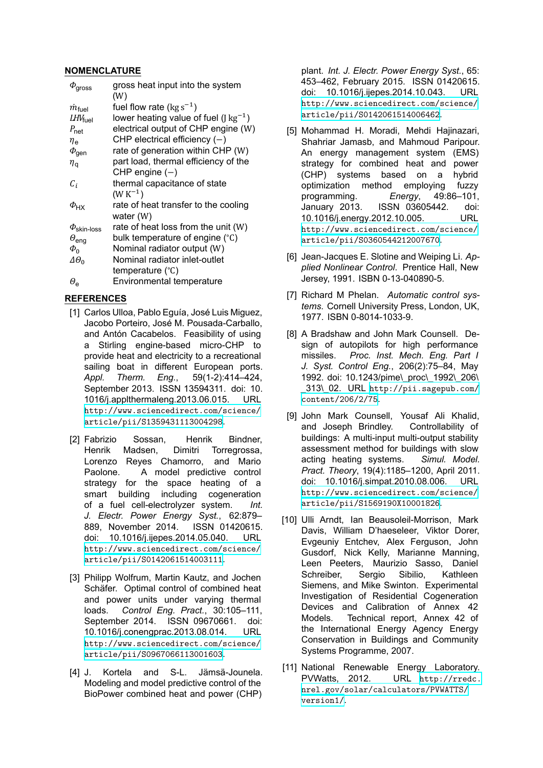# **NOMENCLATURE**

| $\phi_{\rm gross}$           | gross heat input into the system                               |
|------------------------------|----------------------------------------------------------------|
|                              | (W)                                                            |
| $\dot{m}_{\rm fuel}$         | fuel flow rate ( $\text{kg s}^{-1}$ )                          |
| $LHV_{\text{fuel}}$          | lower heating value of fuel ( $\lceil \text{kg}^{-1} \rceil$ ) |
| $P_{\text{net}}$             | electrical output of CHP engine (W)                            |
| $\eta_{\mathsf{e}}$          | CHP electrical efficiency $(-)$                                |
| $\phi_{\text{gen}}$          | rate of generation within CHP (W)                              |
| $\eta_{\tt q}$               | part load, thermal efficiency of the                           |
|                              | CHP engine $(-)$                                               |
| $C_i$                        | thermal capacitance of state                                   |
|                              | $(W K^{-1})$                                                   |
| $\varphi$ <sub>HX</sub>      | rate of heat transfer to the cooling                           |
|                              | water (W)                                                      |
| $\varPhi_\text{skin-loss}$   | rate of heat loss from the unit (W)                            |
| $\theta_{\text{eng}}$        | bulk temperature of engine (°C)                                |
| $\Phi_0$                     | Nominal radiator output (W)                                    |
| $\varDelta\varTheta_{\rm o}$ | Nominal radiator inlet-outlet                                  |
|                              | temperature (°C)                                               |
| $\theta_{\rm e}$             | <b>Environmental temperature</b>                               |
|                              |                                                                |

# **REFERENCES**

- <span id="page-8-0"></span>[1] Carlos Ulloa, Pablo Eguía, José Luis Miguez, Jacobo Porteiro, José M. Pousada-Carballo, and Antón Cacabelos. Feasibility of using a Stirling engine-based micro-CHP to provide heat and electricity to a recreational sailing boat in different European ports. *Appl. Therm. Eng.*, 59(1-2):414–424, September 2013. ISSN 13594311. doi: 10. 1016/j.applthermaleng.2013.06.015. URL [http://www.sciencedirect.com/science/](http://www.sciencedirect.com/science/article/pii/S1359431113004298) [article/pii/S1359431113004298](http://www.sciencedirect.com/science/article/pii/S1359431113004298).
- <span id="page-8-1"></span>[2] Fabrizio Sossan, Henrik Bindner, Henrik Madsen, Dimitri Torregrossa, Lorenzo Reyes Chamorro, and Mario Paolone. A model predictive control strategy for the space heating of a smart building including cogeneration of a fuel cell-electrolyzer system. *Int. J. Electr. Power Energy Syst.*, 62:879– 889, November 2014. ISSN 01420615. doi: 10.1016/j.ijepes.2014.05.040. URL [http://www.sciencedirect.com/science/](http://www.sciencedirect.com/science/article/pii/S0142061514003111) [article/pii/S0142061514003111](http://www.sciencedirect.com/science/article/pii/S0142061514003111).
- <span id="page-8-2"></span>[3] Philipp Wolfrum, Martin Kautz, and Jochen Schäfer. Optimal control of combined heat and power units under varying thermal loads. *Control Eng. Pract.*, 30:105–111, September 2014. ISSN 09670661. doi: 10.1016/j.conengprac.2013.08.014. URL [http://www.sciencedirect.com/science/](http://www.sciencedirect.com/science/article/pii/S0967066113001603) [article/pii/S0967066113001603](http://www.sciencedirect.com/science/article/pii/S0967066113001603).
- <span id="page-8-3"></span>[4] J. Kortela and S-L. Jämsä-Jounela. Modeling and model predictive control of the BioPower combined heat and power (CHP)

plant. *Int. J. Electr. Power Energy Syst.*, 65: 453–462, February 2015. ISSN 01420615. doi: 10.1016/j.ijepes.2014.10.043. URL [http://www.sciencedirect.com/science/](http://www.sciencedirect.com/science/article/pii/S0142061514006462) [article/pii/S0142061514006462](http://www.sciencedirect.com/science/article/pii/S0142061514006462).

- <span id="page-8-4"></span>[5] Mohammad H. Moradi, Mehdi Hajinazari, Shahriar Jamasb, and Mahmoud Paripour. An energy management system (EMS) strategy for combined heat and power (CHP) systems based on a hybrid optimization method employing fuzzy programming. *Energy*, 49:86–101, January 2013. ISSN 03605442. doi: 10.1016/j.energy.2012.10.005. URL [http://www.sciencedirect.com/science/](http://www.sciencedirect.com/science/article/pii/S0360544212007670) [article/pii/S0360544212007670](http://www.sciencedirect.com/science/article/pii/S0360544212007670).
- <span id="page-8-5"></span>[6] Jean-Jacques E. Slotine and Weiping Li. *Applied Nonlinear Control*. Prentice Hall, New Jersey, 1991. ISBN 0-13-040890-5.
- <span id="page-8-6"></span>[7] Richard M Phelan. *Automatic control systems*. Cornell University Press, London, UK, 1977. ISBN 0-8014-1033-9.
- <span id="page-8-7"></span>[8] A Bradshaw and John Mark Counsell. Design of autopilots for high performance missiles. *Proc. Inst. Mech. Eng. Part I J. Syst. Control Eng.*, 206(2):75–84, May 1992. doi: 10.1243/pime\\_proc\\_1992\\_206\ \_313\\_02. URL [http://pii.sagepub.com/](http://pii.sagepub.com/content/206/2/75) [content/206/2/75](http://pii.sagepub.com/content/206/2/75).
- <span id="page-8-8"></span>[9] John Mark Counsell, Yousaf Ali Khalid, and Joseph Brindley. Controllability of buildings: A multi-input multi-output stability assessment method for buildings with slow acting heating systems. *Simul. Model. Pract. Theory*, 19(4):1185–1200, April 2011. doi: 10.1016/j.simpat.2010.08.006. URL [http://www.sciencedirect.com/science/](http://www.sciencedirect.com/science/article/pii/S1569190X10001826) [article/pii/S1569190X10001826](http://www.sciencedirect.com/science/article/pii/S1569190X10001826).
- <span id="page-8-9"></span>[10] Ulli Arndt, Ian Beausoleil-Morrison, Mark Davis, William D'haeseleer, Viktor Dorer, Evgeuniy Entchev, Alex Ferguson, John Gusdorf, Nick Kelly, Marianne Manning, Leen Peeters, Maurizio Sasso, Daniel Schreiber, Sergio Sibilio, Kathleen Siemens, and Mike Swinton. Experimental Investigation of Residential Cogeneration Devices and Calibration of Annex 42 Models. Technical report, Annex 42 of the International Energy Agency Energy Conservation in Buildings and Community Systems Programme, 2007.
- <span id="page-8-10"></span>[11] National Renewable Energy Laboratory. PVWatts, 2012. URL [http://rredc.](http://rredc.nrel.gov/solar/calculators/PVWATTS/version1/) [nrel.gov/solar/calculators/PVWATTS/](http://rredc.nrel.gov/solar/calculators/PVWATTS/version1/) [version1/](http://rredc.nrel.gov/solar/calculators/PVWATTS/version1/).